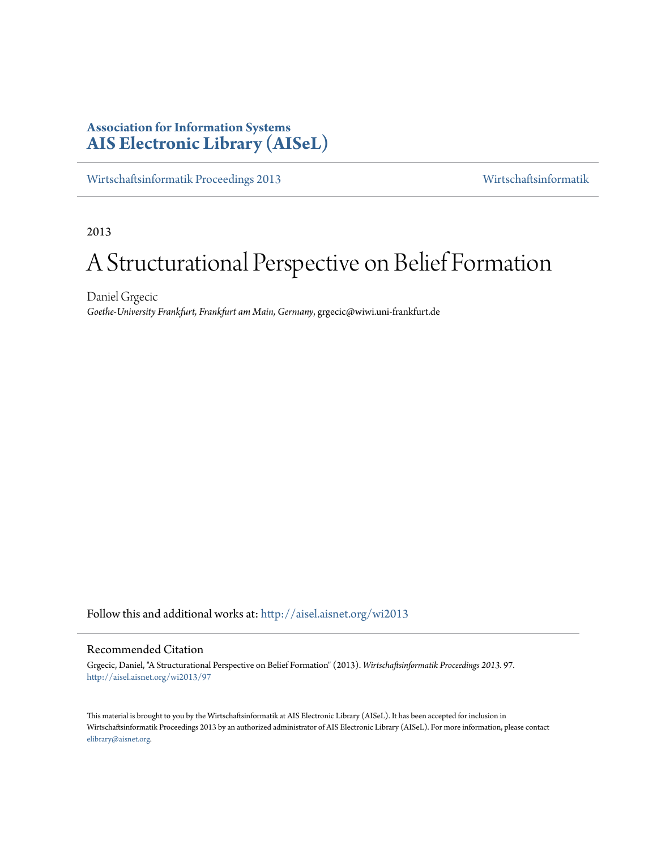## **Association for Information Systems [AIS Electronic Library \(AISeL\)](http://aisel.aisnet.org?utm_source=aisel.aisnet.org%2Fwi2013%2F97&utm_medium=PDF&utm_campaign=PDFCoverPages)**

[Wirtschaftsinformatik Proceedings 2013](http://aisel.aisnet.org/wi2013?utm_source=aisel.aisnet.org%2Fwi2013%2F97&utm_medium=PDF&utm_campaign=PDFCoverPages) [Wirtschaftsinformatik](http://aisel.aisnet.org/wi?utm_source=aisel.aisnet.org%2Fwi2013%2F97&utm_medium=PDF&utm_campaign=PDFCoverPages)

2013

# A Structurational Perspective on Belief Formation

Daniel Grgecic *Goethe-University Frankfurt, Frankfurt am Main, Germany*, grgecic@wiwi.uni-frankfurt.de

Follow this and additional works at: [http://aisel.aisnet.org/wi2013](http://aisel.aisnet.org/wi2013?utm_source=aisel.aisnet.org%2Fwi2013%2F97&utm_medium=PDF&utm_campaign=PDFCoverPages)

#### Recommended Citation

Grgecic, Daniel, "A Structurational Perspective on Belief Formation" (2013). *Wirtschaftsinformatik Proceedings 2013*. 97. [http://aisel.aisnet.org/wi2013/97](http://aisel.aisnet.org/wi2013/97?utm_source=aisel.aisnet.org%2Fwi2013%2F97&utm_medium=PDF&utm_campaign=PDFCoverPages)

This material is brought to you by the Wirtschaftsinformatik at AIS Electronic Library (AISeL). It has been accepted for inclusion in Wirtschaftsinformatik Proceedings 2013 by an authorized administrator of AIS Electronic Library (AISeL). For more information, please contact [elibrary@aisnet.org.](mailto:elibrary@aisnet.org%3E)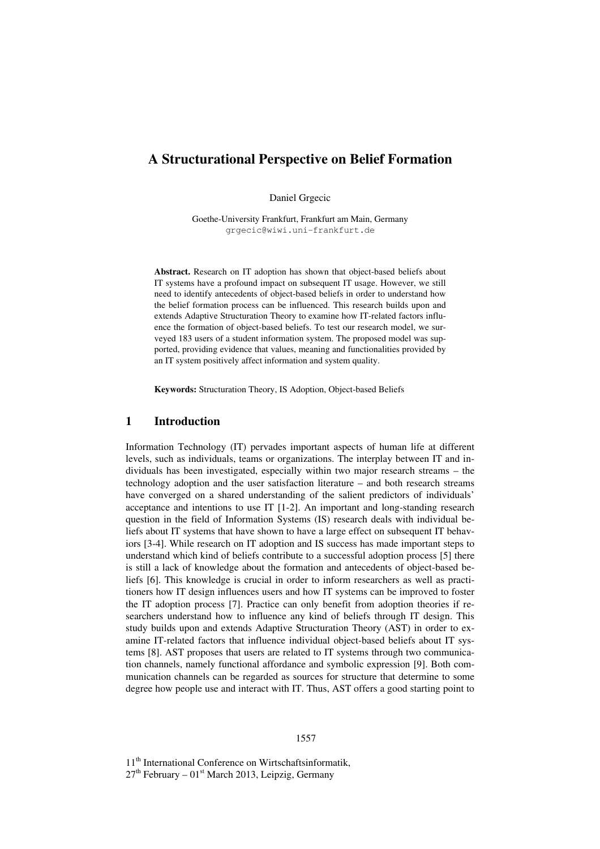## **A Structurational Perspective on Belief Formation**

Daniel Grgecic

Goethe-University Frankfurt, Frankfurt am Main, Germany grgecic@wiwi.uni-frankfurt.de

**Abstract.** Research on IT adoption has shown that object-based beliefs about IT systems have a profound impact on subsequent IT usage. However, we still need to identify antecedents of object-based beliefs in order to understand how the belief formation process can be influenced. This research builds upon and extends Adaptive Structuration Theory to examine how IT-related factors influence the formation of object-based beliefs. To test our research model, we surveyed 183 users of a student information system. The proposed model was supported, providing evidence that values, meaning and functionalities provided by an IT system positively affect information and system quality.

**Keywords:** Structuration Theory, IS Adoption, Object-based Beliefs

#### **1 Introduction**

Information Technology (IT) pervades important aspects of human life at different levels, such as individuals, teams or organizations. The interplay between IT and individuals has been investigated, especially within two major research streams – the technology adoption and the user satisfaction literature – and both research streams have converged on a shared understanding of the salient predictors of individuals' acceptance and intentions to use IT [1-2]. An important and long-standing research question in the field of Information Systems (IS) research deals with individual beliefs about IT systems that have shown to have a large effect on subsequent IT behaviors [3-4]. While research on IT adoption and IS success has made important steps to understand which kind of beliefs contribute to a successful adoption process [5] there is still a lack of knowledge about the formation and antecedents of object-based beliefs [6]. This knowledge is crucial in order to inform researchers as well as practitioners how IT design influences users and how IT systems can be improved to foster the IT adoption process [7]. Practice can only benefit from adoption theories if researchers understand how to influence any kind of beliefs through IT design. This study builds upon and extends Adaptive Structuration Theory (AST) in order to examine IT-related factors that influence individual object-based beliefs about IT systems [8]. AST proposes that users are related to IT systems through two communication channels, namely functional affordance and symbolic expression [9]. Both communication channels can be regarded as sources for structure that determine to some degree how people use and interact with IT. Thus, AST offers a good starting point to

#### 1557

11<sup>th</sup> International Conference on Wirtschaftsinformatik,  $27<sup>th</sup>$  February –  $01<sup>st</sup>$  March 2013, Leipzig, Germany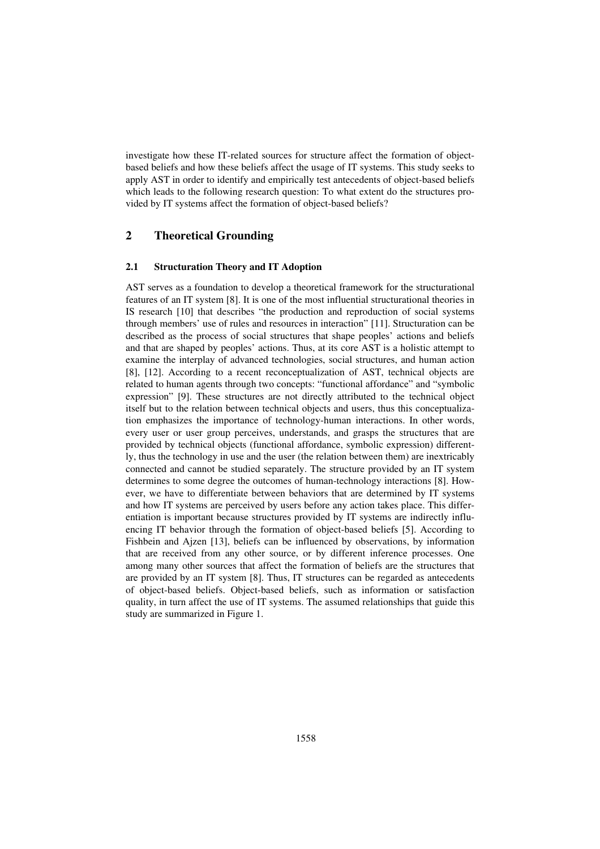investigate how these IT-related sources for structure affect the formation of objectbased beliefs and how these beliefs affect the usage of IT systems. This study seeks to apply AST in order to identify and empirically test antecedents of object-based beliefs which leads to the following research question: To what extent do the structures provided by IT systems affect the formation of object-based beliefs?

#### **2 Theoretical Grounding**

#### **2.1 Structuration Theory and IT Adoption**

AST serves as a foundation to develop a theoretical framework for the structurational features of an IT system [8]. It is one of the most influential structurational theories in IS research [10] that describes "the production and reproduction of social systems through members' use of rules and resources in interaction" [11]. Structuration can be described as the process of social structures that shape peoples' actions and beliefs and that are shaped by peoples' actions. Thus, at its core AST is a holistic attempt to examine the interplay of advanced technologies, social structures, and human action [8], [12]. According to a recent reconceptualization of AST, technical objects are related to human agents through two concepts: "functional affordance" and "symbolic expression" [9]. These structures are not directly attributed to the technical object itself but to the relation between technical objects and users, thus this conceptualization emphasizes the importance of technology-human interactions. In other words, every user or user group perceives, understands, and grasps the structures that are provided by technical objects (functional affordance, symbolic expression) differently, thus the technology in use and the user (the relation between them) are inextricably connected and cannot be studied separately. The structure provided by an IT system determines to some degree the outcomes of human-technology interactions [8]. However, we have to differentiate between behaviors that are determined by IT systems and how IT systems are perceived by users before any action takes place. This differentiation is important because structures provided by IT systems are indirectly influencing IT behavior through the formation of object-based beliefs [5]. According to Fishbein and Ajzen [13], beliefs can be influenced by observations, by information that are received from any other source, or by different inference processes. One among many other sources that affect the formation of beliefs are the structures that are provided by an IT system [8]. Thus, IT structures can be regarded as antecedents of object-based beliefs. Object-based beliefs, such as information or satisfaction quality, in turn affect the use of IT systems. The assumed relationships that guide this study are summarized in Figure 1.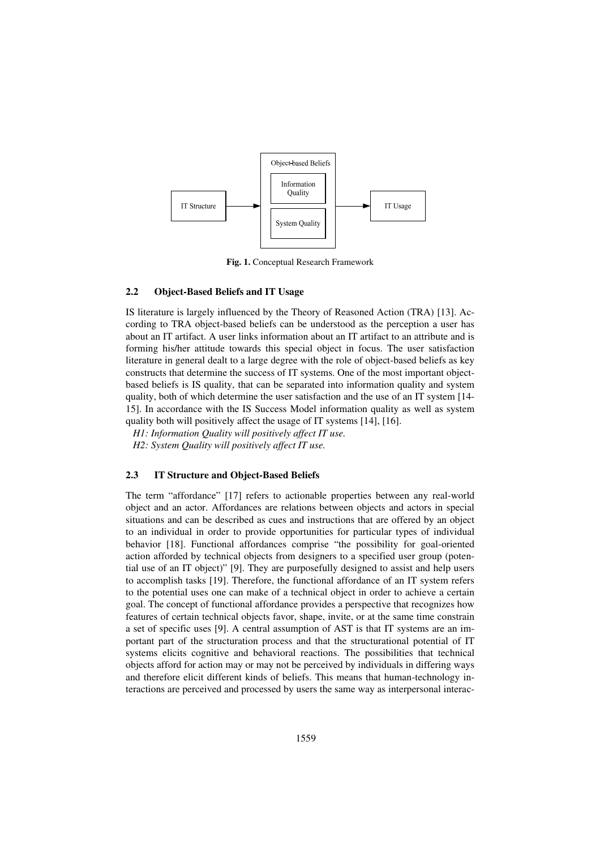

**Fig. 1.** Conceptual Research Framework

#### **2.2 Object-Based Beliefs and IT Usage**

IS literature is largely influenced by the Theory of Reasoned Action (TRA) [13]. According to TRA object-based beliefs can be understood as the perception a user has about an IT artifact. A user links information about an IT artifact to an attribute and is forming his/her attitude towards this special object in focus. The user satisfaction literature in general dealt to a large degree with the role of object-based beliefs as key constructs that determine the success of IT systems. One of the most important objectbased beliefs is IS quality, that can be separated into information quality and system quality, both of which determine the user satisfaction and the use of an IT system [14- 15]. In accordance with the IS Success Model information quality as well as system quality both will positively affect the usage of IT systems [14], [16].

*H1: Information Quality will positively affect IT use.* 

*H2: System Quality will positively affect IT use.* 

#### **2.3 IT Structure and Object-Based Beliefs**

The term "affordance" [17] refers to actionable properties between any real-world object and an actor. Affordances are relations between objects and actors in special situations and can be described as cues and instructions that are offered by an object to an individual in order to provide opportunities for particular types of individual behavior [18]. Functional affordances comprise "the possibility for goal-oriented action afforded by technical objects from designers to a specified user group (potential use of an IT object)" [9]. They are purposefully designed to assist and help users to accomplish tasks [19]. Therefore, the functional affordance of an IT system refers to the potential uses one can make of a technical object in order to achieve a certain goal. The concept of functional affordance provides a perspective that recognizes how features of certain technical objects favor, shape, invite, or at the same time constrain a set of specific uses [9]. A central assumption of AST is that IT systems are an important part of the structuration process and that the structurational potential of IT systems elicits cognitive and behavioral reactions. The possibilities that technical objects afford for action may or may not be perceived by individuals in differing ways and therefore elicit different kinds of beliefs. This means that human-technology interactions are perceived and processed by users the same way as interpersonal interac-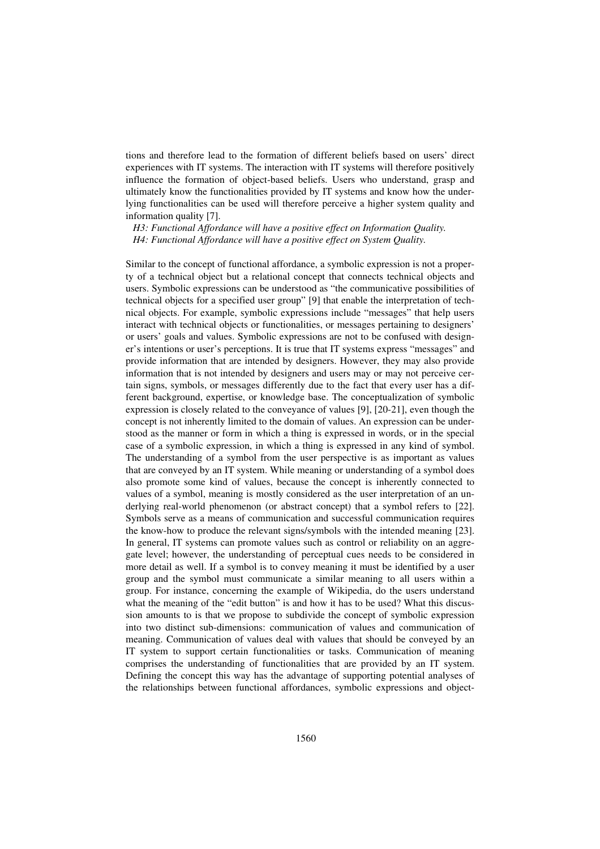tions and therefore lead to the formation of different beliefs based on users' direct experiences with IT systems. The interaction with IT systems will therefore positively influence the formation of object-based beliefs. Users who understand, grasp and ultimately know the functionalities provided by IT systems and know how the underlying functionalities can be used will therefore perceive a higher system quality and information quality [7].

*H3: Functional Affordance will have a positive effect on Information Quality. H4: Functional Affordance will have a positive effect on System Quality.* 

Similar to the concept of functional affordance, a symbolic expression is not a property of a technical object but a relational concept that connects technical objects and users. Symbolic expressions can be understood as "the communicative possibilities of technical objects for a specified user group" [9] that enable the interpretation of technical objects. For example, symbolic expressions include "messages" that help users interact with technical objects or functionalities, or messages pertaining to designers' or users' goals and values. Symbolic expressions are not to be confused with designer's intentions or user's perceptions. It is true that IT systems express "messages" and provide information that are intended by designers. However, they may also provide information that is not intended by designers and users may or may not perceive certain signs, symbols, or messages differently due to the fact that every user has a different background, expertise, or knowledge base. The conceptualization of symbolic expression is closely related to the conveyance of values [9], [20-21], even though the concept is not inherently limited to the domain of values. An expression can be understood as the manner or form in which a thing is expressed in words, or in the special case of a symbolic expression, in which a thing is expressed in any kind of symbol. The understanding of a symbol from the user perspective is as important as values that are conveyed by an IT system. While meaning or understanding of a symbol does also promote some kind of values, because the concept is inherently connected to values of a symbol, meaning is mostly considered as the user interpretation of an underlying real-world phenomenon (or abstract concept) that a symbol refers to [22]. Symbols serve as a means of communication and successful communication requires the know-how to produce the relevant signs/symbols with the intended meaning [23]. In general, IT systems can promote values such as control or reliability on an aggregate level; however, the understanding of perceptual cues needs to be considered in more detail as well. If a symbol is to convey meaning it must be identified by a user group and the symbol must communicate a similar meaning to all users within a group. For instance, concerning the example of Wikipedia, do the users understand what the meaning of the "edit button" is and how it has to be used? What this discussion amounts to is that we propose to subdivide the concept of symbolic expression into two distinct sub-dimensions: communication of values and communication of meaning. Communication of values deal with values that should be conveyed by an IT system to support certain functionalities or tasks. Communication of meaning comprises the understanding of functionalities that are provided by an IT system. Defining the concept this way has the advantage of supporting potential analyses of the relationships between functional affordances, symbolic expressions and object-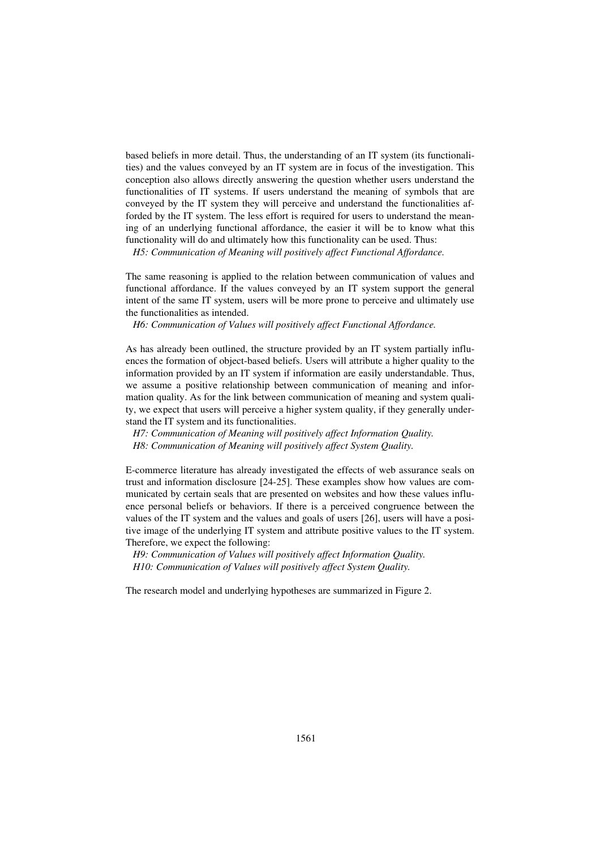based beliefs in more detail. Thus, the understanding of an IT system (its functionalities) and the values conveyed by an IT system are in focus of the investigation. This conception also allows directly answering the question whether users understand the functionalities of IT systems. If users understand the meaning of symbols that are conveyed by the IT system they will perceive and understand the functionalities afforded by the IT system. The less effort is required for users to understand the meaning of an underlying functional affordance, the easier it will be to know what this functionality will do and ultimately how this functionality can be used. Thus:

*H5: Communication of Meaning will positively affect Functional Affordance.* 

The same reasoning is applied to the relation between communication of values and functional affordance. If the values conveyed by an IT system support the general intent of the same IT system, users will be more prone to perceive and ultimately use the functionalities as intended.

*H6: Communication of Values will positively affect Functional Affordance.* 

As has already been outlined, the structure provided by an IT system partially influences the formation of object-based beliefs. Users will attribute a higher quality to the information provided by an IT system if information are easily understandable. Thus, we assume a positive relationship between communication of meaning and information quality. As for the link between communication of meaning and system quality, we expect that users will perceive a higher system quality, if they generally understand the IT system and its functionalities.

*H7: Communication of Meaning will positively affect Information Quality. H8: Communication of Meaning will positively affect System Quality.* 

E-commerce literature has already investigated the effects of web assurance seals on trust and information disclosure [24-25]. These examples show how values are communicated by certain seals that are presented on websites and how these values influence personal beliefs or behaviors. If there is a perceived congruence between the values of the IT system and the values and goals of users [26], users will have a positive image of the underlying IT system and attribute positive values to the IT system. Therefore, we expect the following:

*H9: Communication of Values will positively affect Information Quality. H10: Communication of Values will positively affect System Quality.* 

The research model and underlying hypotheses are summarized in Figure 2.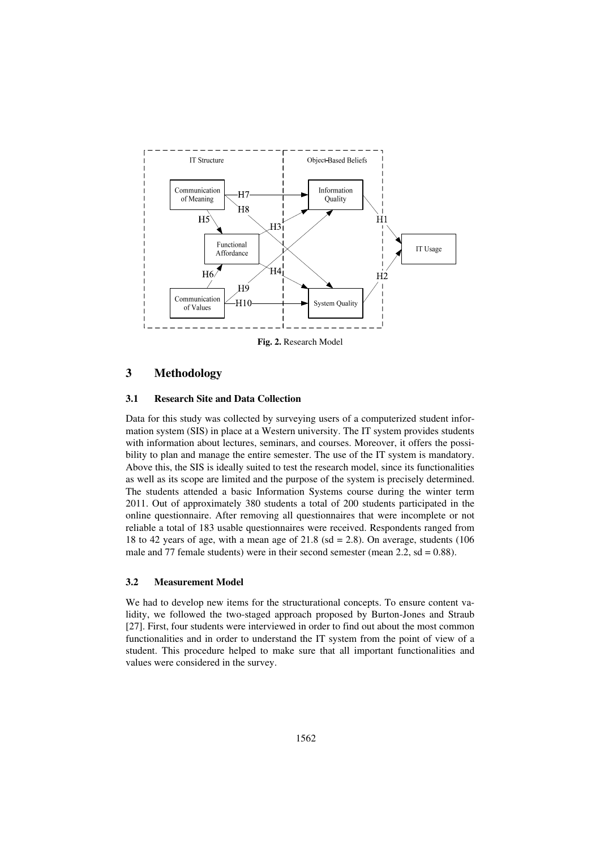

**Fig. 2.** Research Model

### **3 Methodology**

#### **3.1 Research Site and Data Collection**

Data for this study was collected by surveying users of a computerized student information system (SIS) in place at a Western university. The IT system provides students with information about lectures, seminars, and courses. Moreover, it offers the possibility to plan and manage the entire semester. The use of the IT system is mandatory. Above this, the SIS is ideally suited to test the research model, since its functionalities as well as its scope are limited and the purpose of the system is precisely determined. The students attended a basic Information Systems course during the winter term 2011. Out of approximately 380 students a total of 200 students participated in the online questionnaire. After removing all questionnaires that were incomplete or not reliable a total of 183 usable questionnaires were received. Respondents ranged from 18 to 42 years of age, with a mean age of  $21.8$  (sd = 2.8). On average, students (106) male and 77 female students) were in their second semester (mean  $2.2$ , sd = 0.88).

#### **3.2 Measurement Model**

We had to develop new items for the structurational concepts. To ensure content validity, we followed the two-staged approach proposed by Burton-Jones and Straub [27]. First, four students were interviewed in order to find out about the most common functionalities and in order to understand the IT system from the point of view of a student. This procedure helped to make sure that all important functionalities and values were considered in the survey.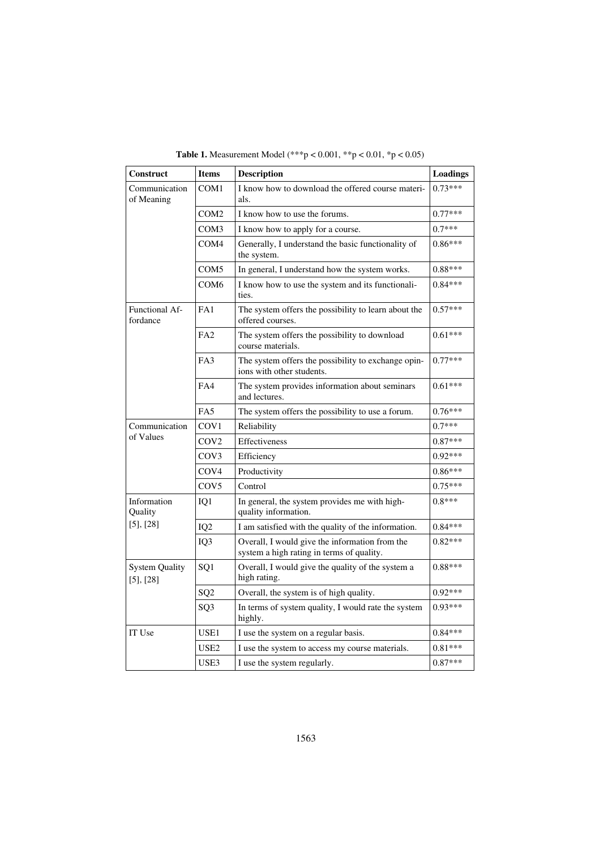| <b>Table 1.</b> Measurement Model $(***p < 0.001, **p < 0.01, *p < 0.05)$ |  |
|---------------------------------------------------------------------------|--|

| Construct                               | <b>Items</b>     | <b>Description</b>                                                                          | <b>Loadings</b> |
|-----------------------------------------|------------------|---------------------------------------------------------------------------------------------|-----------------|
| Communication<br>of Meaning             | COM1             | I know how to download the offered course materi-<br>als.                                   | $0.73***$       |
|                                         | COM2             | I know how to use the forums.                                                               | $0.77***$       |
|                                         | COM <sub>3</sub> | I know how to apply for a course.                                                           | $0.7***$        |
|                                         | COM <sub>4</sub> | Generally, I understand the basic functionality of<br>the system.                           | $0.86***$       |
|                                         | COM <sub>5</sub> | In general, I understand how the system works.                                              | $0.88***$       |
|                                         | COM6             | I know how to use the system and its functionali-<br>ties.                                  | $0.84***$       |
| <b>Functional Af-</b><br>fordance       | FA1              | The system offers the possibility to learn about the<br>offered courses.                    | $0.57***$       |
|                                         | FA2              | The system offers the possibility to download<br>course materials.                          | $0.61***$       |
|                                         | FA3              | The system offers the possibility to exchange opin-<br>ions with other students.            | $0.77***$       |
|                                         | FA4              | The system provides information about seminars<br>and lectures.                             | $0.61***$       |
|                                         | FA5              | The system offers the possibility to use a forum.                                           | $0.76***$       |
| Communication                           | COV <sub>1</sub> | Reliability                                                                                 | $0.7***$        |
| of Values                               | COV <sub>2</sub> | Effectiveness                                                                               | $0.87***$       |
|                                         | COV3             | Efficiency                                                                                  | $0.92***$       |
|                                         | COV <sub>4</sub> | Productivity                                                                                | $0.86***$       |
|                                         | COV <sub>5</sub> | Control                                                                                     | $0.75***$       |
| Information<br>Quality                  | IQ1              | In general, the system provides me with high-<br>quality information.                       | $0.8***$        |
| $[5]$ , $[28]$                          | IQ <sub>2</sub>  | I am satisfied with the quality of the information.                                         | $0.84***$       |
|                                         | IQ3              | Overall, I would give the information from the<br>system a high rating in terms of quality. | $0.82***$       |
| <b>System Quality</b><br>$[5]$ , $[28]$ | SQ1              | Overall, I would give the quality of the system a<br>high rating.                           | $0.88***$       |
|                                         | SQ <sub>2</sub>  | Overall, the system is of high quality.                                                     | $0.92***$       |
|                                         | SQ <sub>3</sub>  | In terms of system quality, I would rate the system<br>highly.                              | $0.93***$       |
| IT Use                                  | USE1             | I use the system on a regular basis.                                                        | $0.84***$       |
|                                         | USE <sub>2</sub> | I use the system to access my course materials.                                             | $0.81***$       |
|                                         | USE3             | I use the system regularly.                                                                 | $0.87***$       |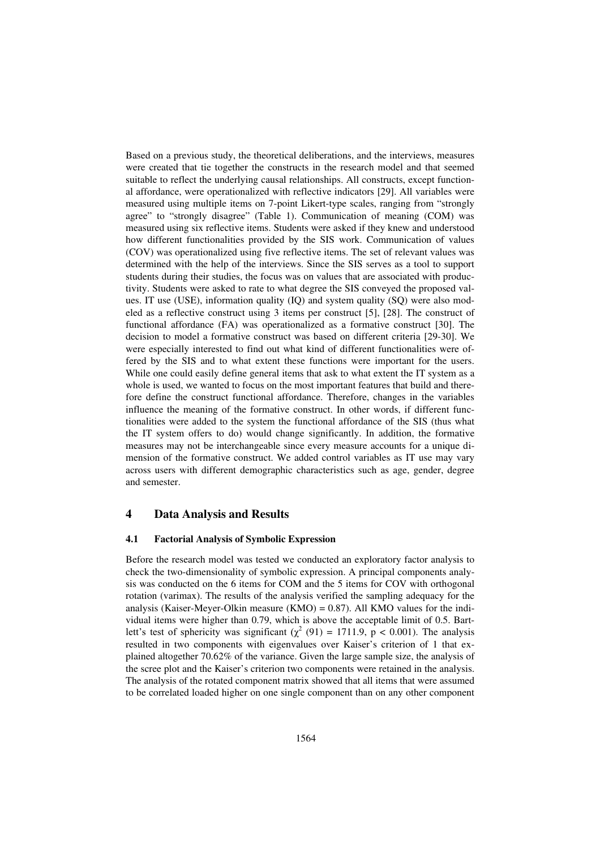Based on a previous study, the theoretical deliberations, and the interviews, measures were created that tie together the constructs in the research model and that seemed suitable to reflect the underlying causal relationships. All constructs, except functional affordance, were operationalized with reflective indicators [29]. All variables were measured using multiple items on 7-point Likert-type scales, ranging from "strongly agree" to "strongly disagree" (Table 1). Communication of meaning (COM) was measured using six reflective items. Students were asked if they knew and understood how different functionalities provided by the SIS work. Communication of values (COV) was operationalized using five reflective items. The set of relevant values was determined with the help of the interviews. Since the SIS serves as a tool to support students during their studies, the focus was on values that are associated with productivity. Students were asked to rate to what degree the SIS conveyed the proposed values. IT use (USE), information quality (IQ) and system quality (SQ) were also modeled as a reflective construct using 3 items per construct [5], [28]. The construct of functional affordance (FA) was operationalized as a formative construct [30]. The decision to model a formative construct was based on different criteria [29-30]. We were especially interested to find out what kind of different functionalities were offered by the SIS and to what extent these functions were important for the users. While one could easily define general items that ask to what extent the IT system as a whole is used, we wanted to focus on the most important features that build and therefore define the construct functional affordance. Therefore, changes in the variables influence the meaning of the formative construct. In other words, if different functionalities were added to the system the functional affordance of the SIS (thus what the IT system offers to do) would change significantly. In addition, the formative measures may not be interchangeable since every measure accounts for a unique dimension of the formative construct. We added control variables as IT use may vary across users with different demographic characteristics such as age, gender, degree and semester.

#### **4 Data Analysis and Results**

#### **4.1 Factorial Analysis of Symbolic Expression**

Before the research model was tested we conducted an exploratory factor analysis to check the two-dimensionality of symbolic expression. A principal components analysis was conducted on the 6 items for COM and the 5 items for COV with orthogonal rotation (varimax). The results of the analysis verified the sampling adequacy for the analysis (Kaiser-Meyer-Olkin measure (KMO) =  $0.87$ ). All KMO values for the individual items were higher than 0.79, which is above the acceptable limit of 0.5. Bartlett's test of sphericity was significant ( $\chi^2$  (91) = 1711.9, p < 0.001). The analysis resulted in two components with eigenvalues over Kaiser's criterion of 1 that explained altogether 70.62% of the variance. Given the large sample size, the analysis of the scree plot and the Kaiser's criterion two components were retained in the analysis. The analysis of the rotated component matrix showed that all items that were assumed to be correlated loaded higher on one single component than on any other component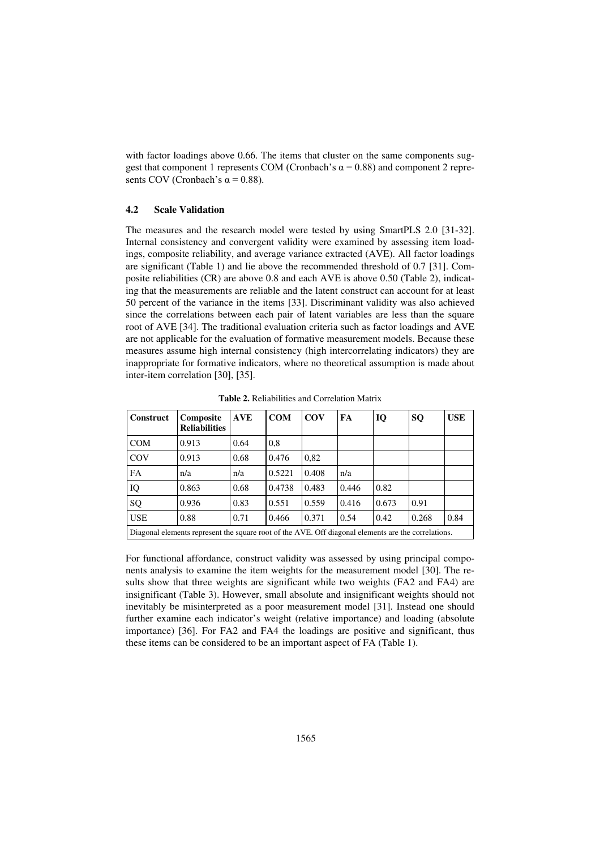with factor loadings above 0.66. The items that cluster on the same components suggest that component 1 represents COM (Cronbach's  $\alpha$  = 0.88) and component 2 represents COV (Cronbach's  $\alpha$  = 0.88).

#### **4.2 Scale Validation**

The measures and the research model were tested by using SmartPLS 2.0 [31-32]. Internal consistency and convergent validity were examined by assessing item loadings, composite reliability, and average variance extracted (AVE). All factor loadings are significant (Table 1) and lie above the recommended threshold of 0.7 [31]. Composite reliabilities (CR) are above 0.8 and each AVE is above 0.50 (Table 2), indicating that the measurements are reliable and the latent construct can account for at least 50 percent of the variance in the items [33]. Discriminant validity was also achieved since the correlations between each pair of latent variables are less than the square root of AVE [34]. The traditional evaluation criteria such as factor loadings and AVE are not applicable for the evaluation of formative measurement models. Because these measures assume high internal consistency (high intercorrelating indicators) they are inappropriate for formative indicators, where no theoretical assumption is made about inter-item correlation [30], [35].

| <b>Construct</b>                                                                                    | <b>Composite</b><br><b>Reliabilities</b> | <b>AVE</b> | <b>COM</b> | <b>COV</b> | FA    | IQ    | SQ    | <b>USE</b> |
|-----------------------------------------------------------------------------------------------------|------------------------------------------|------------|------------|------------|-------|-------|-------|------------|
| <b>COM</b>                                                                                          | 0.913                                    | 0.64       | 0.8        |            |       |       |       |            |
| COV                                                                                                 | 0.913                                    | 0.68       | 0.476      | 0,82       |       |       |       |            |
| FA                                                                                                  | n/a                                      | n/a        | 0.5221     | 0.408      | n/a   |       |       |            |
| IQ                                                                                                  | 0.863                                    | 0.68       | 0.4738     | 0.483      | 0.446 | 0.82  |       |            |
| SQ                                                                                                  | 0.936                                    | 0.83       | 0.551      | 0.559      | 0.416 | 0.673 | 0.91  |            |
| <b>USE</b>                                                                                          | 0.88                                     | 0.71       | 0.466      | 0.371      | 0.54  | 0.42  | 0.268 | 0.84       |
| Diagonal elements represent the square root of the AVE. Off diagonal elements are the correlations. |                                          |            |            |            |       |       |       |            |

**Table 2.** Reliabilities and Correlation Matrix

For functional affordance, construct validity was assessed by using principal components analysis to examine the item weights for the measurement model [30]. The results show that three weights are significant while two weights (FA2 and FA4) are insignificant (Table 3). However, small absolute and insignificant weights should not inevitably be misinterpreted as a poor measurement model [31]. Instead one should further examine each indicator's weight (relative importance) and loading (absolute importance) [36]. For FA2 and FA4 the loadings are positive and significant, thus these items can be considered to be an important aspect of FA (Table 1).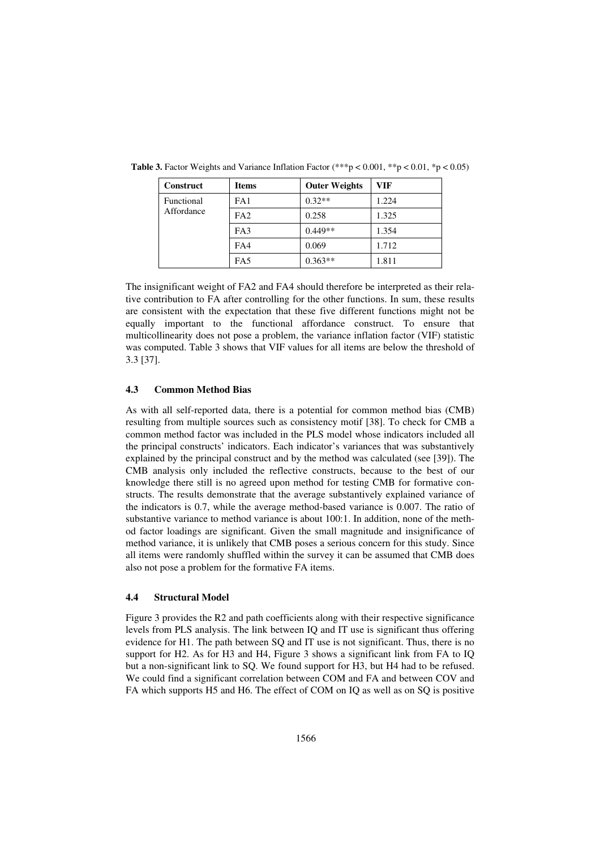| <b>Construct</b>         | <b>Items</b>    | <b>Outer Weights</b> | VIF   |
|--------------------------|-----------------|----------------------|-------|
| Functional<br>Affordance | FA1             | $0.32**$             | 1.224 |
|                          | FA <sub>2</sub> | 0.258                | 1.325 |
|                          | FA3             | $0.449**$            | 1.354 |
|                          | FA4             | 0.069                | 1.712 |
|                          | FA5             | $0.363**$            | 1.811 |

**Table 3.** Factor Weights and Variance Inflation Factor (\*\*\*p < 0.001, \*\*p < 0.01, \*p < 0.05)

The insignificant weight of FA2 and FA4 should therefore be interpreted as their relative contribution to FA after controlling for the other functions. In sum, these results are consistent with the expectation that these five different functions might not be equally important to the functional affordance construct. To ensure that multicollinearity does not pose a problem, the variance inflation factor (VIF) statistic was computed. Table 3 shows that VIF values for all items are below the threshold of 3.3 [37].

#### **4.3 Common Method Bias**

As with all self-reported data, there is a potential for common method bias (CMB) resulting from multiple sources such as consistency motif [38]. To check for CMB a common method factor was included in the PLS model whose indicators included all the principal constructs' indicators. Each indicator's variances that was substantively explained by the principal construct and by the method was calculated (see [39]). The CMB analysis only included the reflective constructs, because to the best of our knowledge there still is no agreed upon method for testing CMB for formative constructs. The results demonstrate that the average substantively explained variance of the indicators is 0.7, while the average method-based variance is 0.007. The ratio of substantive variance to method variance is about 100:1. In addition, none of the method factor loadings are significant. Given the small magnitude and insignificance of method variance, it is unlikely that CMB poses a serious concern for this study. Since all items were randomly shuffled within the survey it can be assumed that CMB does also not pose a problem for the formative FA items.

#### **4.4 Structural Model**

Figure 3 provides the R2 and path coefficients along with their respective significance levels from PLS analysis. The link between IQ and IT use is significant thus offering evidence for H1. The path between SQ and IT use is not significant. Thus, there is no support for H2. As for H3 and H4, Figure 3 shows a significant link from FA to IQ but a non-significant link to SQ. We found support for H3, but H4 had to be refused. We could find a significant correlation between COM and FA and between COV and FA which supports H5 and H6. The effect of COM on IQ as well as on SQ is positive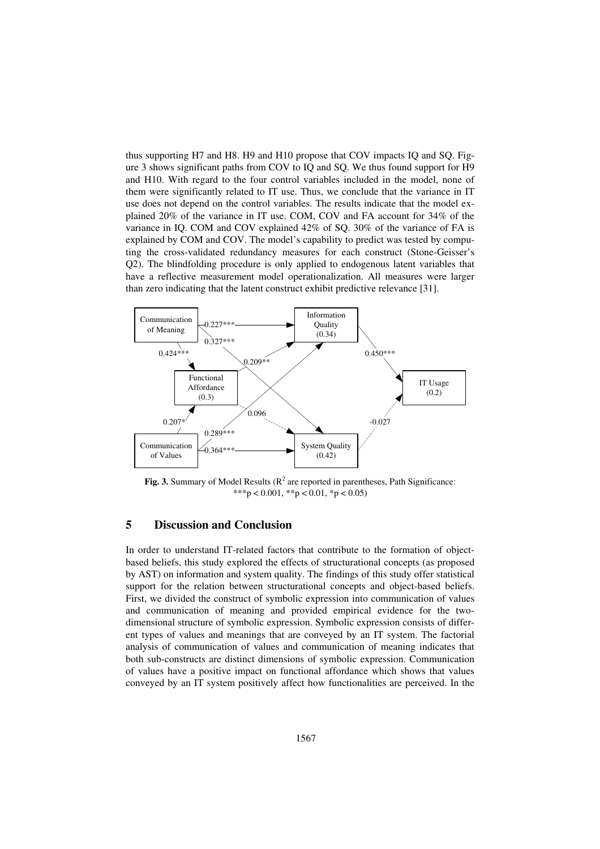thus supporting H7 and H8. H9 and H10 propose that COV impacts IQ and SQ. Figure 3 shows significant paths from COV to IQ and SQ. We thus found support for H9 and H10. With regard to the four control variables included in the model, none of them were significantly related to IT use. Thus, we conclude that the variance in IT use does not depend on the control variables. The results indicate that the model explained 20% of the variance in IT use. COM, COV and FA account for 34% of the variance in IQ. COM and COV explained 42% of SQ. 30% of the variance of FA is explained by COM and COV. The model's capability to predict was tested by computing the cross-validated redundancy measures for each construct (Stone-Geisser's Q2). The blindfolding procedure is only applied to endogenous latent variables that have a reflective measurement model operationalization. All measures were larger than zero indicating that the latent construct exhibit predictive relevance [31].



**Fig. 3.** Summary of Model Results ( $\mathbb{R}^2$  are reported in parentheses, Path Significance: \*\*\*p < 0.001, \*\*p < 0.01, \*p < 0.05)

#### **5 Discussion and Conclusion**

In order to understand IT-related factors that contribute to the formation of objectbased beliefs, this study explored the effects of structurational concepts (as proposed by AST) on information and system quality. The findings of this study offer statistical support for the relation between structurational concepts and object-based beliefs. First, we divided the construct of symbolic expression into communication of values and communication of meaning and provided empirical evidence for the twodimensional structure of symbolic expression. Symbolic expression consists of different types of values and meanings that are conveyed by an IT system. The factorial analysis of communication of values and communication of meaning indicates that both sub-constructs are distinct dimensions of symbolic expression. Communication of values have a positive impact on functional affordance which shows that values conveyed by an IT system positively affect how functionalities are perceived. In the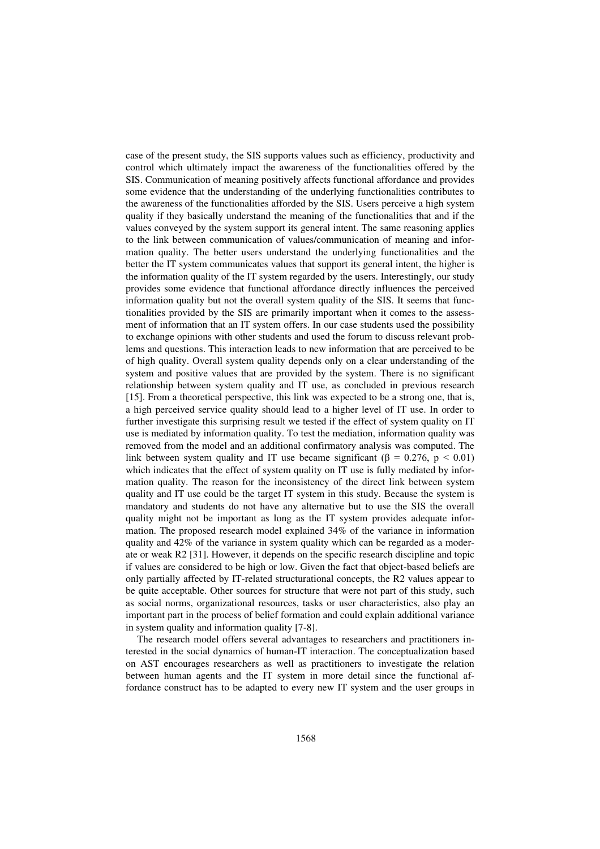case of the present study, the SIS supports values such as efficiency, productivity and control which ultimately impact the awareness of the functionalities offered by the SIS. Communication of meaning positively affects functional affordance and provides some evidence that the understanding of the underlying functionalities contributes to the awareness of the functionalities afforded by the SIS. Users perceive a high system quality if they basically understand the meaning of the functionalities that and if the values conveyed by the system support its general intent. The same reasoning applies to the link between communication of values/communication of meaning and information quality. The better users understand the underlying functionalities and the better the IT system communicates values that support its general intent, the higher is the information quality of the IT system regarded by the users. Interestingly, our study provides some evidence that functional affordance directly influences the perceived information quality but not the overall system quality of the SIS. It seems that functionalities provided by the SIS are primarily important when it comes to the assessment of information that an IT system offers. In our case students used the possibility to exchange opinions with other students and used the forum to discuss relevant problems and questions. This interaction leads to new information that are perceived to be of high quality. Overall system quality depends only on a clear understanding of the system and positive values that are provided by the system. There is no significant relationship between system quality and IT use, as concluded in previous research [15]. From a theoretical perspective, this link was expected to be a strong one, that is, a high perceived service quality should lead to a higher level of IT use. In order to further investigate this surprising result we tested if the effect of system quality on IT use is mediated by information quality. To test the mediation, information quality was removed from the model and an additional confirmatory analysis was computed. The link between system quality and IT use became significant ( $\beta = 0.276$ ,  $p < 0.01$ ) which indicates that the effect of system quality on IT use is fully mediated by information quality. The reason for the inconsistency of the direct link between system quality and IT use could be the target IT system in this study. Because the system is mandatory and students do not have any alternative but to use the SIS the overall quality might not be important as long as the IT system provides adequate information. The proposed research model explained 34% of the variance in information quality and 42% of the variance in system quality which can be regarded as a moderate or weak R2 [31]. However, it depends on the specific research discipline and topic if values are considered to be high or low. Given the fact that object-based beliefs are only partially affected by IT-related structurational concepts, the R2 values appear to be quite acceptable. Other sources for structure that were not part of this study, such as social norms, organizational resources, tasks or user characteristics, also play an important part in the process of belief formation and could explain additional variance in system quality and information quality [7-8].

The research model offers several advantages to researchers and practitioners interested in the social dynamics of human-IT interaction. The conceptualization based on AST encourages researchers as well as practitioners to investigate the relation between human agents and the IT system in more detail since the functional affordance construct has to be adapted to every new IT system and the user groups in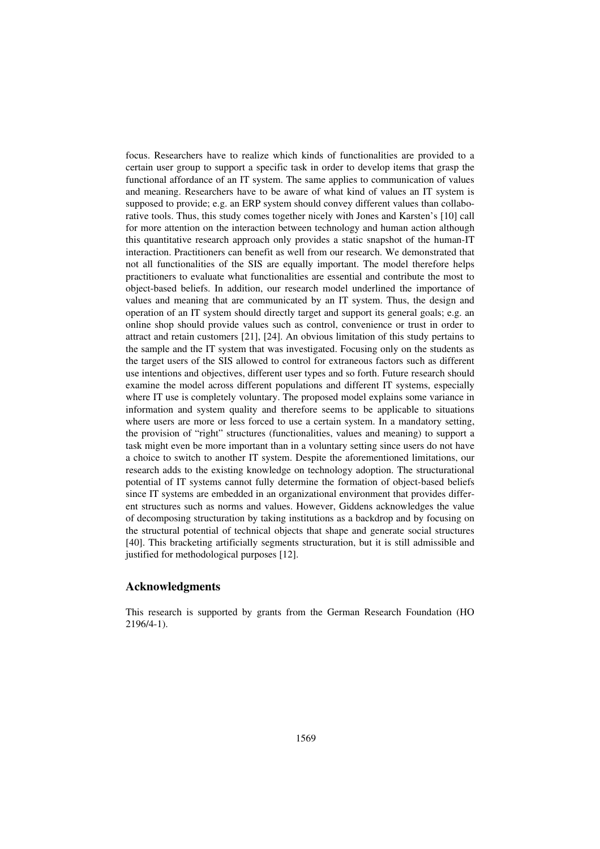focus. Researchers have to realize which kinds of functionalities are provided to a certain user group to support a specific task in order to develop items that grasp the functional affordance of an IT system. The same applies to communication of values and meaning. Researchers have to be aware of what kind of values an IT system is supposed to provide; e.g. an ERP system should convey different values than collaborative tools. Thus, this study comes together nicely with Jones and Karsten's [10] call for more attention on the interaction between technology and human action although this quantitative research approach only provides a static snapshot of the human-IT interaction. Practitioners can benefit as well from our research. We demonstrated that not all functionalities of the SIS are equally important. The model therefore helps practitioners to evaluate what functionalities are essential and contribute the most to object-based beliefs. In addition, our research model underlined the importance of values and meaning that are communicated by an IT system. Thus, the design and operation of an IT system should directly target and support its general goals; e.g. an online shop should provide values such as control, convenience or trust in order to attract and retain customers [21], [24]. An obvious limitation of this study pertains to the sample and the IT system that was investigated. Focusing only on the students as the target users of the SIS allowed to control for extraneous factors such as different use intentions and objectives, different user types and so forth. Future research should examine the model across different populations and different IT systems, especially where IT use is completely voluntary. The proposed model explains some variance in information and system quality and therefore seems to be applicable to situations where users are more or less forced to use a certain system. In a mandatory setting, the provision of "right" structures (functionalities, values and meaning) to support a task might even be more important than in a voluntary setting since users do not have a choice to switch to another IT system. Despite the aforementioned limitations, our research adds to the existing knowledge on technology adoption. The structurational potential of IT systems cannot fully determine the formation of object-based beliefs since IT systems are embedded in an organizational environment that provides different structures such as norms and values. However, Giddens acknowledges the value of decomposing structuration by taking institutions as a backdrop and by focusing on the structural potential of technical objects that shape and generate social structures [40]. This bracketing artificially segments structuration, but it is still admissible and justified for methodological purposes [12].

#### **Acknowledgments**

This research is supported by grants from the German Research Foundation (HO 2196/4-1).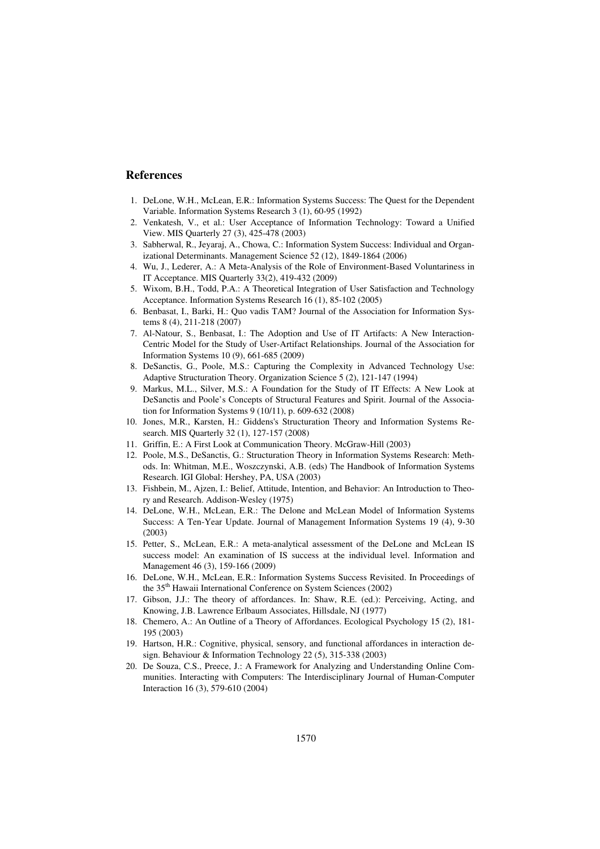#### **References**

- 1. DeLone, W.H., McLean, E.R.: Information Systems Success: The Quest for the Dependent Variable. Information Systems Research 3 (1), 60-95 (1992)
- 2. Venkatesh, V., et al.: User Acceptance of Information Technology: Toward a Unified View. MIS Quarterly 27 (3), 425-478 (2003)
- 3. Sabherwal, R., Jeyaraj, A., Chowa, C.: Information System Success: Individual and Organizational Determinants. Management Science 52 (12), 1849-1864 (2006)
- 4. Wu, J., Lederer, A.: A Meta-Analysis of the Role of Environment-Based Voluntariness in IT Acceptance. MIS Quarterly 33(2), 419-432 (2009)
- 5. Wixom, B.H., Todd, P.A.: A Theoretical Integration of User Satisfaction and Technology Acceptance. Information Systems Research 16 (1), 85-102 (2005)
- 6. Benbasat, I., Barki, H.: Quo vadis TAM? Journal of the Association for Information Systems 8 (4), 211-218 (2007)
- 7. Al-Natour, S., Benbasat, I.: The Adoption and Use of IT Artifacts: A New Interaction-Centric Model for the Study of User-Artifact Relationships. Journal of the Association for Information Systems 10 (9), 661-685 (2009)
- 8. DeSanctis, G., Poole, M.S.: Capturing the Complexity in Advanced Technology Use: Adaptive Structuration Theory. Organization Science 5 (2), 121-147 (1994)
- 9. Markus, M.L., Silver, M.S.: A Foundation for the Study of IT Effects: A New Look at DeSanctis and Poole's Concepts of Structural Features and Spirit. Journal of the Association for Information Systems 9 (10/11), p. 609-632 (2008)
- 10. Jones, M.R., Karsten, H.: Giddens's Structuration Theory and Information Systems Research. MIS Quarterly 32 (1), 127-157 (2008)
- 11. Griffin, E.: A First Look at Communication Theory. McGraw-Hill (2003)
- 12. Poole, M.S., DeSanctis, G.: Structuration Theory in Information Systems Research: Methods. In: Whitman, M.E., Woszczynski, A.B. (eds) The Handbook of Information Systems Research. IGI Global: Hershey, PA, USA (2003)
- 13. Fishbein, M., Ajzen, I.: Belief, Attitude, Intention, and Behavior: An Introduction to Theory and Research. Addison-Wesley (1975)
- 14. DeLone, W.H., McLean, E.R.: The Delone and McLean Model of Information Systems Success: A Ten-Year Update. Journal of Management Information Systems 19 (4), 9-30 (2003)
- 15. Petter, S., McLean, E.R.: A meta-analytical assessment of the DeLone and McLean IS success model: An examination of IS success at the individual level. Information and Management 46 (3), 159-166 (2009)
- 16. DeLone, W.H., McLean, E.R.: Information Systems Success Revisited. In Proceedings of the 35<sup>th</sup> Hawaii International Conference on System Sciences (2002)
- 17. Gibson, J.J.: The theory of affordances. In: Shaw, R.E. (ed.): Perceiving, Acting, and Knowing, J.B. Lawrence Erlbaum Associates, Hillsdale, NJ (1977)
- 18. Chemero, A.: An Outline of a Theory of Affordances. Ecological Psychology 15 (2), 181- 195 (2003)
- 19. Hartson, H.R.: Cognitive, physical, sensory, and functional affordances in interaction design. Behaviour & Information Technology 22 (5), 315-338 (2003)
- 20. De Souza, C.S., Preece, J.: A Framework for Analyzing and Understanding Online Communities. Interacting with Computers: The Interdisciplinary Journal of Human-Computer Interaction 16 (3), 579-610 (2004)